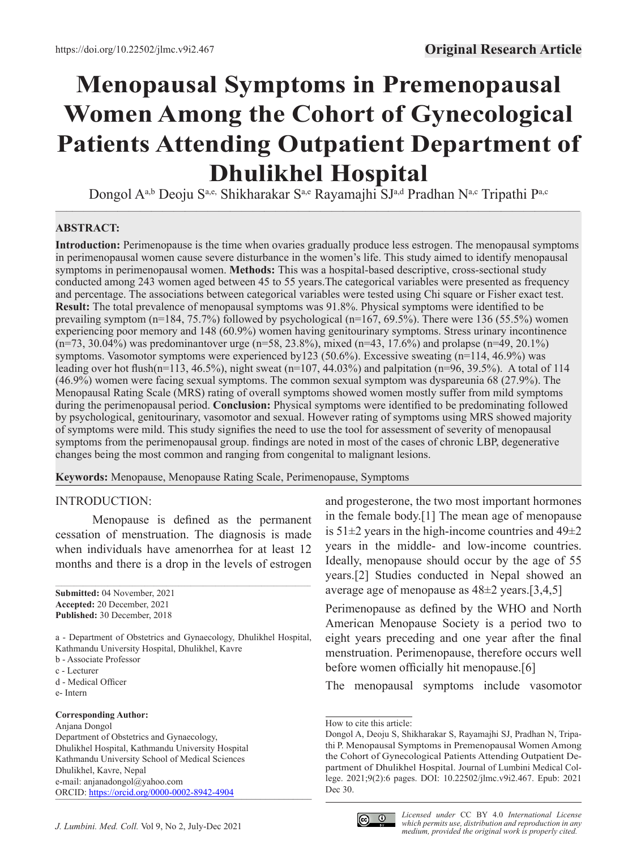# **Menopausal Symptoms in Premenopausal Women Among the Cohort of Gynecological Patients Attending Outpatient Department of Dhulikhel Hospital**

 $\overline{\phantom{a}}$  , and the contract of the contract of the contract of the contract of the contract of the contract of the contract of the contract of the contract of the contract of the contract of the contract of the contrac Dongol A<sup>a,b</sup> Deoju S<sup>a,e,</sup> Shikharakar S<sup>a,e</sup> Rayamajhi SJ<sup>a,d</sup> Pradhan N<sup>a,c</sup> Tripathi P<sup>a,c</sup>

# **ABSTRACT:**

**Introduction:** Perimenopause is the time when ovaries gradually produce less estrogen. The menopausal symptoms in perimenopausal women cause severe disturbance in the women's life. This study aimed to identify menopausal symptoms in perimenopausal women. **Methods:** This was a hospital-based descriptive, cross-sectional study conducted among 243 women aged between 45 to 55 years.The categorical variables were presented as frequency and percentage. The associations between categorical variables were tested using Chi square or Fisher exact test. **Result:** The total prevalence of menopausal symptoms was 91.8%. Physical symptoms were identified to be prevailing symptom  $(n=184, 75.7%)$  followed by psychological  $(n=167, 69.5%)$ . There were 136 (55.5%) women experiencing poor memory and 148 (60.9%) women having genitourinary symptoms. Stress urinary incontinence (n=73, 30.04%) was predominantover urge (n=58, 23.8%), mixed (n=43, 17.6%) and prolapse (n=49, 20.1%) symptoms. Vasomotor symptoms were experienced by123 (50.6%). Excessive sweating (n=114, 46.9%) was leading over hot flush(n=113, 46.5%), night sweat (n=107, 44.03%) and palpitation (n=96, 39.5%). A total of 114 (46.9%) women were facing sexual symptoms. The common sexual symptom was dyspareunia 68 (27.9%). The Menopausal Rating Scale (MRS) rating of overall symptoms showed women mostly suffer from mild symptoms during the perimenopausal period. **Conclusion:** Physical symptoms were identified to be predominating followed by psychological, genitourinary, vasomotor and sexual. However rating of symptoms using MRS showed majority of symptoms were mild. This study signifies the need to use the tool for assessment of severity of menopausal symptoms from the perimenopausal group. findings are noted in most of the cases of chronic LBP, degenerative changes being the most common and ranging from congenital to malignant lesions.

**Keywords:** Menopause, Menopause Rating Scale, Perimenopause, Symptoms

#### INTRODUCTION:

Menopause is defined as the permanent cessation of menstruation. The diagnosis is made when individuals have amenorrhea for at least 12 months and there is a drop in the levels of estrogen

 $\mathcal{L}_\mathcal{L} = \{ \mathcal{L}_\mathcal{L} = \{ \mathcal{L}_\mathcal{L} = \{ \mathcal{L}_\mathcal{L} = \{ \mathcal{L}_\mathcal{L} = \{ \mathcal{L}_\mathcal{L} = \{ \mathcal{L}_\mathcal{L} = \{ \mathcal{L}_\mathcal{L} = \{ \mathcal{L}_\mathcal{L} = \{ \mathcal{L}_\mathcal{L} = \{ \mathcal{L}_\mathcal{L} = \{ \mathcal{L}_\mathcal{L} = \{ \mathcal{L}_\mathcal{L} = \{ \mathcal{L}_\mathcal{L} = \{ \mathcal{L}_\mathcal{$ 

**Submitted:** 04 November, 2021 **Accepted:** 20 December, 2021 **Published:** 30 December, 2018

a - Department of Obstetrics and Gynaecology, Dhulikhel Hospital, Kathmandu University Hospital, Dhulikhel, Kavre

- b Associate Professor
- c Lecturer
- d Medical Officer
- e- Intern

#### **Corresponding Author:**

Anjana Dongol Department of Obstetrics and Gynaecology, Dhulikhel Hospital, Kathmandu University Hospital Kathmandu University School of Medical Sciences Dhulikhel, Kavre, Nepal e-mail: anjanadongol@yahoo.com ORCID: <u>[https://orcid.org/0](https://orcid.org/0000-0002-8942-4904)000-0002-8942-4904</u> and progesterone, the two most important hormones in the female body.[1] The mean age of menopause is  $51\pm2$  years in the high-income countries and  $49\pm2$ years in the middle- and low-income countries. Ideally, menopause should occur by the age of 55 years.[2] Studies conducted in Nepal showed an average age of menopause as 48±2 years.[3,4,5]

Perimenopause as defined by the WHO and North American Menopause Society is a period two to eight years preceding and one year after the final menstruation. Perimenopause, therefore occurs well before women officially hit menopause.[6]

The menopausal symptoms include vasomotor



How to cite this article:

Dongol A, Deoju S, Shikharakar S, Rayamajhi SJ, Pradhan N, Tripathi P. Menopausal Symptoms in Premenopausal Women Among the Cohort of Gynecological Patients Attending Outpatient Department of Dhulikhel Hospital. Journal of Lumbini Medical College. 2021;9(2):6 pages. DOI: 10.22502/jlmc.v9i2.467. Epub: 2021 Dec 30.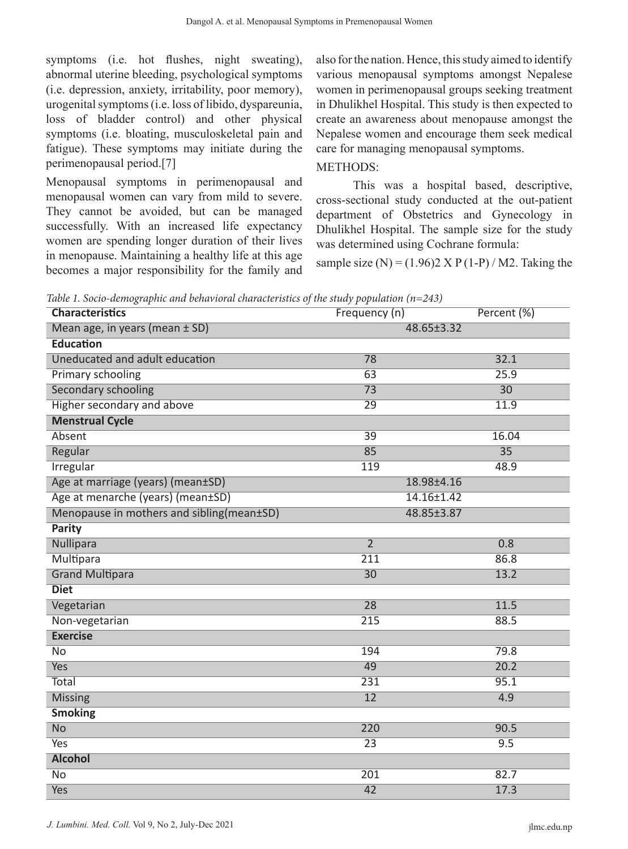symptoms (i.e. hot flushes, night sweating), abnormal uterine bleeding, psychological symptoms (i.e. depression, anxiety, irritability, poor memory), urogenital symptoms (i.e. loss of libido, dyspareunia, loss of bladder control) and other physical symptoms (i.e. bloating, musculoskeletal pain and fatigue). These symptoms may initiate during the perimenopausal period.[7]

Menopausal symptoms in perimenopausal and menopausal women can vary from mild to severe. They cannot be avoided, but can be managed successfully. With an increased life expectancy women are spending longer duration of their lives in menopause. Maintaining a healthy life at this age becomes a major responsibility for the family and

also for the nation. Hence, this study aimed to identify various menopausal symptoms amongst Nepalese women in perimenopausal groups seeking treatment in Dhulikhel Hospital. This study is then expected to create an awareness about menopause amongst the Nepalese women and encourage them seek medical care for managing menopausal symptoms.

# METHODS:

This was a hospital based, descriptive, cross-sectional study conducted at the out-patient department of Obstetrics and Gynecology in Dhulikhel Hospital. The sample size for the study was determined using Cochrane formula:

sample size (N) =  $(1.96)2 \text{ X P } (1-P) / \text{ M2}$ . Taking the

*Table 1. Socio-demographic and behavioral characteristics of the study population (n=243)*

| <b>Characteristics</b>                    | Frequency (n)<br>Percent (%) |                 |  |  |
|-------------------------------------------|------------------------------|-----------------|--|--|
| Mean age, in years (mean ± SD)            | 48.65±3.32                   |                 |  |  |
| <b>Education</b>                          |                              |                 |  |  |
| Uneducated and adult education            | 78                           | 32.1            |  |  |
| Primary schooling                         | 25.9<br>$\overline{63}$      |                 |  |  |
| <b>Secondary schooling</b>                | $\overline{73}$              | $\overline{30}$ |  |  |
| Higher secondary and above                | $\overline{29}$              | 11.9            |  |  |
| <b>Menstrual Cycle</b>                    |                              |                 |  |  |
| Absent                                    | $\overline{39}$              | 16.04           |  |  |
| Regular                                   | 85                           | $\overline{35}$ |  |  |
| Irregular                                 | 119                          | 48.9            |  |  |
| Age at marriage (years) (mean±SD)         | 18.98±4.16                   |                 |  |  |
| Age at menarche (years) (mean±SD)         | $14.16 \pm 1.42$             |                 |  |  |
| Menopause in mothers and sibling(mean±SD) | 48.85±3.87                   |                 |  |  |
| Parity                                    |                              |                 |  |  |
| Nullipara                                 | $\overline{2}$               | 0.8             |  |  |
| <b>Multipara</b>                          | $\overline{211}$             | 86.8            |  |  |
| <b>Grand Multipara</b>                    | $\overline{30}$              | 13.2            |  |  |
| <b>Diet</b>                               |                              |                 |  |  |
| Vegetarian                                | $\overline{28}$              | 11.5            |  |  |
| Non-vegetarian                            | 215                          | 88.5            |  |  |
| <b>Exercise</b>                           |                              |                 |  |  |
| $\overline{No}$                           | 194                          | 79.8            |  |  |
| <b>Yes</b>                                | 49                           | 20.2            |  |  |
| <b>Total</b>                              | 231                          | 95.1            |  |  |
| <b>Missing</b>                            | $\overline{12}$              | 4.9             |  |  |
| <b>Smoking</b>                            |                              |                 |  |  |
| <b>No</b>                                 | $\overline{220}$             | 90.5            |  |  |
| Yes                                       | $\overline{23}$              | 9.5             |  |  |
| <b>Alcohol</b>                            |                              |                 |  |  |
| $\overline{No}$                           | 201                          | 82.7            |  |  |
| <b>Yes</b>                                | $\overline{42}$              | 17.3            |  |  |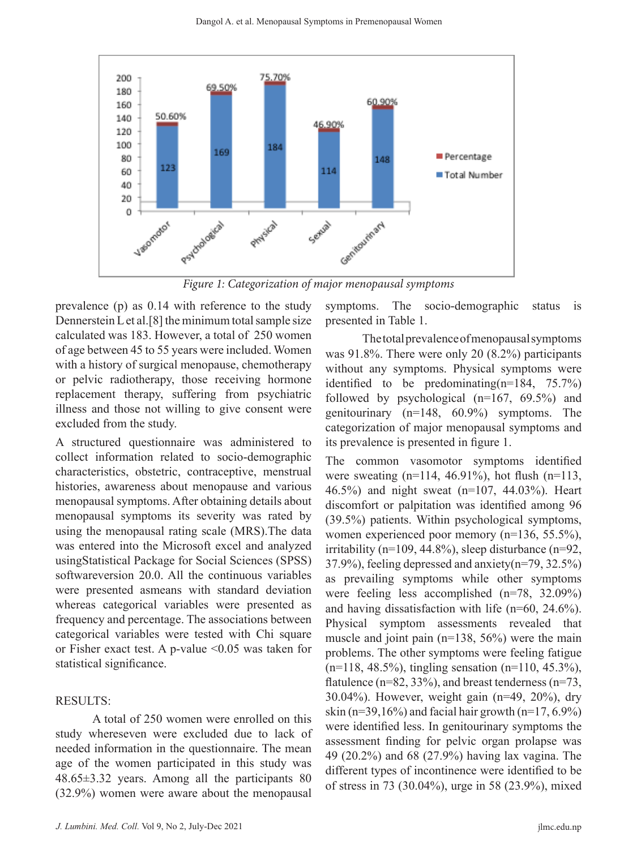

*Figure 1: Categorization of major menopausal symptoms*

prevalence (p) as 0.14 with reference to the study Dennerstein L et al.[8] the minimum total sample size calculated was 183. However, a total of 250 women of age between 45 to 55 years were included. Women with a history of surgical menopause, chemotherapy or pelvic radiotherapy, those receiving hormone replacement therapy, suffering from psychiatric illness and those not willing to give consent were excluded from the study.

A structured questionnaire was administered to collect information related to socio-demographic characteristics, obstetric, contraceptive, menstrual histories, awareness about menopause and various menopausal symptoms. After obtaining details about menopausal symptoms its severity was rated by using the menopausal rating scale (MRS).The data was entered into the Microsoft excel and analyzed usingStatistical Package for Social Sciences (SPSS) softwareversion 20.0. All the continuous variables were presented asmeans with standard deviation whereas categorical variables were presented as frequency and percentage. The associations between categorical variables were tested with Chi square or Fisher exact test. A p-value  $\leq 0.05$  was taken for statistical significance.

#### RESULTS:

A total of 250 women were enrolled on this study whereseven were excluded due to lack of needed information in the questionnaire. The mean age of the women participated in this study was 48.65±3.32 years. Among all the participants 80 (32.9%) women were aware about the menopausal

symptoms. The socio-demographic status is presented in Table 1.

The total prevalence of menopausal symptoms was 91.8%. There were only 20 (8.2%) participants without any symptoms. Physical symptoms were identified to be predominating(n=184, 75.7%) followed by psychological (n=167, 69.5%) and genitourinary (n=148, 60.9%) symptoms. The categorization of major menopausal symptoms and its prevalence is presented in figure 1.

The common vasomotor symptoms identified were sweating  $(n=114, 46.91\%)$ , hot flush  $(n=113, 46.91\%)$ 46.5%) and night sweat (n=107, 44.03%). Heart discomfort or palpitation was identified among 96 (39.5%) patients. Within psychological symptoms, women experienced poor memory (n=136, 55.5%), irritability (n=109, 44.8%), sleep disturbance (n=92, 37.9%), feeling depressed and anxiety(n=79, 32.5%) as prevailing symptoms while other symptoms were feeling less accomplished (n=78, 32.09%) and having dissatisfaction with life (n=60, 24.6%). Physical symptom assessments revealed that muscle and joint pain (n=138, 56%) were the main problems. The other symptoms were feeling fatigue (n=118, 48.5%), tingling sensation (n=110, 45.3%), flatulence ( $n=82$ , 33%), and breast tenderness ( $n=73$ , 30.04%). However, weight gain (n=49, 20%), dry skin (n=39,16%) and facial hair growth (n=17, 6.9%) were identified less. In genitourinary symptoms the assessment finding for pelvic organ prolapse was 49 (20.2%) and 68 (27.9%) having lax vagina. The different types of incontinence were identified to be of stress in 73 (30.04%), urge in 58 (23.9%), mixed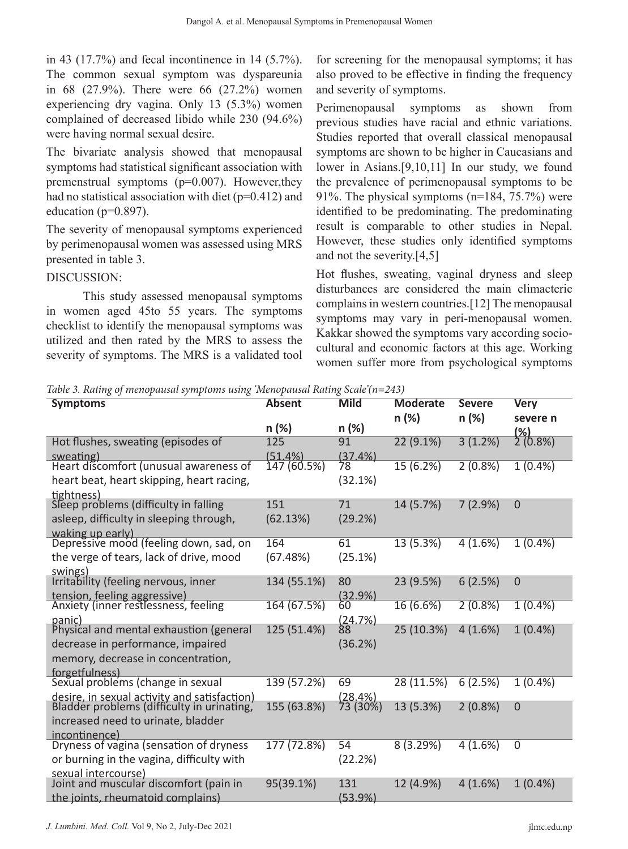in 43 (17.7%) and fecal incontinence in 14 (5.7%). The common sexual symptom was dyspareunia in 68 (27.9%). There were 66 (27.2%) women experiencing dry vagina. Only 13 (5.3%) women complained of decreased libido while 230 (94.6%) were having normal sexual desire.

The bivariate analysis showed that menopausal symptoms had statistical significant association with premenstrual symptoms (p=0.007). However,they had no statistical association with diet ( $p=0.412$ ) and education ( $p=0.897$ ).

The severity of menopausal symptoms experienced by perimenopausal women was assessed using MRS presented in table 3.

#### DISCUSSION:

This study assessed menopausal symptoms in women aged 45to 55 years. The symptoms checklist to identify the menopausal symptoms was utilized and then rated by the MRS to assess the severity of symptoms. The MRS is a validated tool for screening for the menopausal symptoms; it has also proved to be effective in finding the frequency and severity of symptoms.

Perimenopausal symptoms as shown from previous studies have racial and ethnic variations. Studies reported that overall classical menopausal symptoms are shown to be higher in Caucasians and lower in Asians.[9,10,11] In our study, we found the prevalence of perimenopausal symptoms to be 91%. The physical symptoms (n=184, 75.7%) were identified to be predominating. The predominating result is comparable to other studies in Nepal. However, these studies only identified symptoms and not the severity.[4,5]

Hot flushes, sweating, vaginal dryness and sleep disturbances are considered the main climacteric complains in western countries.[12] The menopausal symptoms may vary in peri-menopausal women. Kakkar showed the symptoms vary according sociocultural and economic factors at this age. Working women suffer more from psychological symptoms

*Table 3. Rating of menopausal symptoms using 'Menopausal Rating Scale'(n=243)*

| <b>Symptoms</b>                                                      | <b>Absent</b> | <b>Mild</b>      | <b>Moderate</b> | <b>Severe</b> | <b>Very</b>           |
|----------------------------------------------------------------------|---------------|------------------|-----------------|---------------|-----------------------|
|                                                                      |               |                  | n (%)           | $n (\%)$      | severe n              |
|                                                                      | n (%)         | n (%)            |                 |               | $\frac{(2)}{(0.8\%)}$ |
| Hot flushes, sweating (episodes of                                   | 125           | 91               | 22(9.1%)        | 3(1.2%)       |                       |
| sweating)                                                            | $(51.4\%)$    | (37.4%)          |                 |               |                       |
| Heart discomfort (unusual awareness of                               | 147 (60.5%)   | 8ל               | 15(6.2%)        | 2(0.8%)       | $1(0.4\%)$            |
| heart beat, heart skipping, heart racing,                            |               | (32.1%)          |                 |               |                       |
| tightness)                                                           |               |                  |                 |               |                       |
| Sleep problems (difficulty in falling                                | 151           | 71               | 14(5.7%)        | 7(2.9%)       | $\overline{0}$        |
| asleep, difficulty in sleeping through,                              | (62.13%)      | (29.2%)          |                 |               |                       |
| waking up early)<br>Depressive mood (feeling down, sad, on           |               |                  |                 |               |                       |
|                                                                      | 164           | 61               | 13(5.3%)        | 4(1.6%)       | $1(0.4\%)$            |
| the verge of tears, lack of drive, mood                              | (67.48%)      | (25.1%)          |                 |               |                       |
| swings)                                                              |               |                  |                 |               |                       |
| Irritability (feeling nervous, inner                                 | 134 (55.1%)   | 80               | 23 (9.5%)       | 6(2.5%)       | $\overline{0}$        |
| tension, feeling aggressive)<br>Anxiety (inner restlessness, feeling | 164 (67.5%)   | $(32.9\%)$<br>60 | 16 (6.6%)       | 2(0.8%)       | $1(0.4\%)$            |
|                                                                      |               |                  |                 |               |                       |
| panic)<br>Physical and mental exhaustion (general                    | 125 (51.4%)   | (24.7%)<br>88    | 25 (10.3%)      | 4(1.6%)       | $1(0.4\%)$            |
| decrease in performance, impaired                                    |               | (36.2%)          |                 |               |                       |
|                                                                      |               |                  |                 |               |                       |
| memory, decrease in concentration,                                   |               |                  |                 |               |                       |
| forgetfulness)<br>Sexual problems (change in sexual                  | 139 (57.2%)   | 69               | 28 (11.5%)      | 6(2.5%)       | $1(0.4\%)$            |
| desire, in sexual activity and satisfaction)                         |               | (28.4%)          |                 |               |                       |
| Bladder problems (difficulty in urinating,                           | 155 (63.8%)   | 73 (30%)         | 13 (5.3%)       | 2(0.8%)       | $\overline{0}$        |
| increased need to urinate, bladder                                   |               |                  |                 |               |                       |
| incontinence)                                                        |               |                  |                 |               |                       |
| Dryness of vagina (sensation of dryness                              | 177 (72.8%)   | 54               | 8(3.29%)        | 4(1.6%)       | $\overline{0}$        |
| or burning in the vagina, difficulty with                            |               | (22.2%)          |                 |               |                       |
| sexual intercourse)                                                  |               |                  |                 |               |                       |
| Joint and muscular discomfort (pain in                               | 95(39.1%)     | 131              | 12 (4.9%)       | 4(1.6%)       | $1(0.4\%)$            |
| the joints, rheumatoid complains)                                    |               | $(53.9\%)$       |                 |               |                       |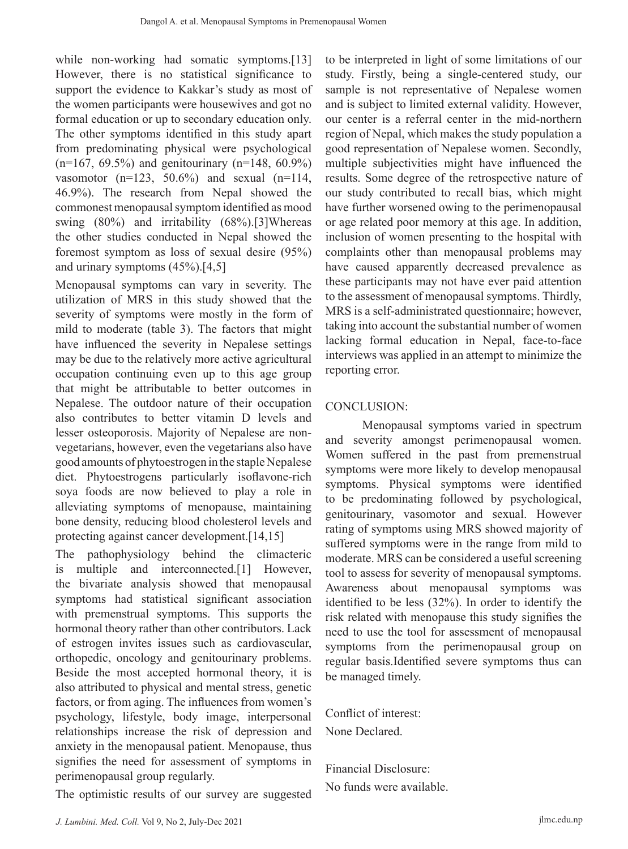while non-working had somatic symptoms.<sup>[13]</sup> However, there is no statistical significance to support the evidence to Kakkar's study as most of the women participants were housewives and got no formal education or up to secondary education only. The other symptoms identified in this study apart from predominating physical were psychological  $(n=167, 69.5\%)$  and genitourinary  $(n=148, 60.9\%)$ vasomotor  $(n=123, 50.6%)$  and sexual  $(n=114, ...)$ 46.9%). The research from Nepal showed the commonest menopausal symptom identified as mood swing (80%) and irritability (68%).[3]Whereas the other studies conducted in Nepal showed the foremost symptom as loss of sexual desire (95%) and urinary symptoms  $(45\%)$ .[4,5]

Menopausal symptoms can vary in severity. The utilization of MRS in this study showed that the severity of symptoms were mostly in the form of mild to moderate (table 3). The factors that might have influenced the severity in Nepalese settings may be due to the relatively more active agricultural occupation continuing even up to this age group that might be attributable to better outcomes in Nepalese. The outdoor nature of their occupation also contributes to better vitamin D levels and lesser osteoporosis. Majority of Nepalese are nonvegetarians, however, even the vegetarians also have good amounts of phytoestrogen in the staple Nepalese diet. Phytoestrogens particularly isoflavone-rich soya foods are now believed to play a role in alleviating symptoms of menopause, maintaining bone density, reducing blood cholesterol levels and protecting against cancer development.[14,15]

The pathophysiology behind the climacteric is multiple and interconnected.[1] However, the bivariate analysis showed that menopausal symptoms had statistical significant association with premenstrual symptoms. This supports the hormonal theory rather than other contributors. Lack of estrogen invites issues such as cardiovascular, orthopedic, oncology and genitourinary problems. Beside the most accepted hormonal theory, it is also attributed to physical and mental stress, genetic factors, or from aging. The influences from women's psychology, lifestyle, body image, interpersonal relationships increase the risk of depression and anxiety in the menopausal patient. Menopause, thus signifies the need for assessment of symptoms in perimenopausal group regularly.

The optimistic results of our survey are suggested

to be interpreted in light of some limitations of our study. Firstly, being a single-centered study, our sample is not representative of Nepalese women and is subject to limited external validity. However, our center is a referral center in the mid-northern region of Nepal, which makes the study population a good representation of Nepalese women. Secondly, multiple subjectivities might have influenced the results. Some degree of the retrospective nature of our study contributed to recall bias, which might have further worsened owing to the perimenopausal or age related poor memory at this age. In addition, inclusion of women presenting to the hospital with complaints other than menopausal problems may have caused apparently decreased prevalence as these participants may not have ever paid attention to the assessment of menopausal symptoms. Thirdly, MRS is a self-administrated questionnaire; however, taking into account the substantial number of women lacking formal education in Nepal, face-to-face interviews was applied in an attempt to minimize the reporting error.

# CONCLUSION:

Menopausal symptoms varied in spectrum and severity amongst perimenopausal women. Women suffered in the past from premenstrual symptoms were more likely to develop menopausal symptoms. Physical symptoms were identified to be predominating followed by psychological, genitourinary, vasomotor and sexual. However rating of symptoms using MRS showed majority of suffered symptoms were in the range from mild to moderate. MRS can be considered a useful screening tool to assess for severity of menopausal symptoms. Awareness about menopausal symptoms was identified to be less (32%). In order to identify the risk related with menopause this study signifies the need to use the tool for assessment of menopausal symptoms from the perimenopausal group on regular basis.Identified severe symptoms thus can be managed timely.

Conflict of interest: None Declared.

Financial Disclosure: No funds were available.